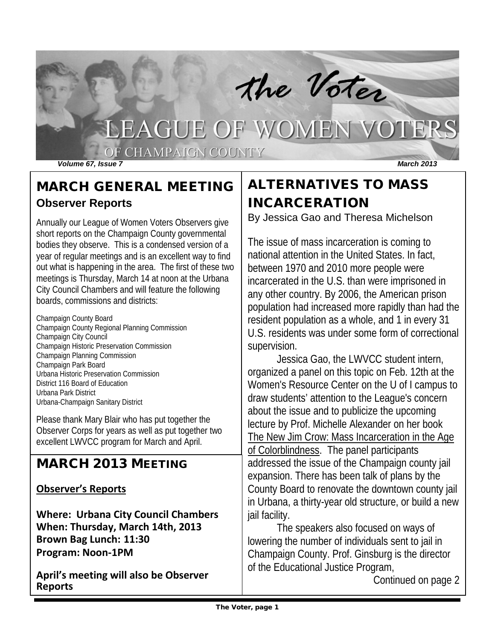

## MARCH GENERAL MEETING **Observer Reports**

Annually our League of Women Voters Observers give short reports on the Champaign County governmental bodies they observe. This is a condensed version of a year of regular meetings and is an excellent way to find out what is happening in the area. The first of these two meetings is Thursday, March 14 at noon at the Urbana City Council Chambers and will feature the following boards, commissions and districts:

Champaign County Board Champaign County Regional Planning Commission Champaign City Council Champaign Historic Preservation Commission Champaign Planning Commission Champaign Park Board Urbana Historic Preservation Commission District 116 Board of Education Urbana Park District Urbana-Champaign Sanitary District

Please thank Mary Blair who has put together the Observer Corps for years as well as put together two excellent LWVCC program for March and April.

## MARCH 2013 MEETING

#### **Observer's Reports**

**Where: Urbana City Council Chambers When: Thursday, March 14th, 2013 Brown Bag Lunch: 11:30 Program: Noon-1PM**

**April's meeting will also be Observer Reports**

# ALTERNATIVES TO MASS INCARCERATION

By Jessica Gao and Theresa Michelson

The issue of mass incarceration is coming to national attention in the United States. In fact, between 1970 and 2010 more people were incarcerated in the U.S. than were imprisoned in any other country. By 2006, the American prison population had increased more rapidly than had the resident population as a whole, and 1 in every 31 U.S. residents was under some form of correctional supervision.

Jessica Gao, the LWVCC student intern, organized a panel on this topic on Feb. 12th at the Women's Resource Center on the U of I campus to draw students' attention to the League's concern about the issue and to publicize the upcoming lecture by Prof. Michelle Alexander on her book The New Jim Crow: Mass Incarceration in the Age of Colorblindness. The panel participants addressed the issue of the Champaign county jail expansion. There has been talk of plans by the County Board to renovate the downtown county jail in Urbana, a thirty-year old structure, or build a new jail facility.

The speakers also focused on ways of lowering the number of individuals sent to jail in Champaign County. Prof. Ginsburg is the director of the Educational Justice Program,

Continued on page 2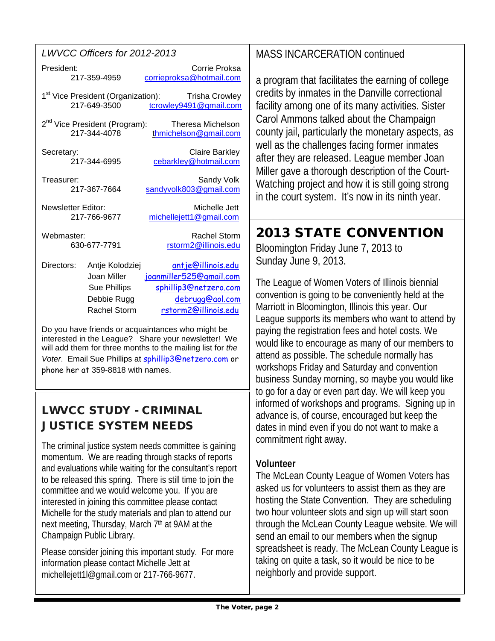| LWVCC Officers for 2012-2013 |
|------------------------------|
|------------------------------|

| President: | 217-359-4959                                                         | Corrie Proksa<br>corrieproksa@hotmail.com                                                 |
|------------|----------------------------------------------------------------------|-------------------------------------------------------------------------------------------|
|            | 1 <sup>st</sup> Vice President (Organization):<br>217-649-3500       | <b>Trisha Crowley</b><br>tcrowley9491@gmail.com                                           |
|            | 2 <sup>nd</sup> Vice President (Program):<br>217-344-4078            | Theresa Michelson<br>thmichelson@gmail.com                                                |
| Secretary: | 217-344-6995                                                         | <b>Claire Barkley</b><br>cebarkley@hotmail.com                                            |
| Treasurer: | 217-367-7664                                                         | Sandy Volk<br>sandyvolk803@gmail.com                                                      |
|            | <b>Newsletter Editor:</b><br>217-766-9677                            | Michelle Jett<br>michellejett1@gmail.com                                                  |
| Webmaster: | 630-677-7791                                                         | <b>Rachel Storm</b><br>rstorm2@illinois.edu                                               |
| Directors: | Antje Kolodziej<br>Joan Miller<br><b>Sue Phillips</b><br>Debbie Ruaa | antje@illinois.edu<br>joanmiller525@gmail.com<br>sphillip3@netzero.com<br>debrugg@gol.com |

Do you have friends or acquaintances who might be interested in the League? Share your newsletter! We will add them for three months to the mailing list for *the Voter*. Email Sue Phillips at [sphillip3@netzero.com](mailto:sphillip3@netzero.com) or phone her at 359-8818 with names.

Rachel Storm [rstorm2@illinois.edu](mailto:rstorm2@illinois.edu)

## LWVCC STUDY - CRIMINAL JUSTICE SYSTEM NEEDS

The criminal justice system needs committee is gaining momentum. We are reading through stacks of reports and evaluations while waiting for the consultant's report to be released this spring. There is still time to join the committee and we would welcome you. If you are interested in joining this committee please contact Michelle for the study materials and plan to attend our next meeting, Thursday, March 7<sup>th</sup> at 9AM at the Champaign Public Library.

Please consider joining this important study. For more information please contact Michelle Jett at michellejett1l@gmail.com or 217-766-9677.

## MASS INCARCERATION continued

a program that facilitates the earning of college credits by inmates in the Danville correctional facility among one of its many activities. Sister Carol Ammons talked about the Champaign county jail, particularly the monetary aspects, as well as the challenges facing former inmates after they are released. League member Joan Miller gave a thorough description of the Court-Watching project and how it is still going strong in the court system. It's now in its ninth year.

# 2013 STATE CONVENTION

Bloomington Friday June 7, 2013 to Sunday June 9, 2013.

The League of Women Voters of Illinois biennial convention is going to be conveniently held at the Marriott in Bloomington, Illinois this year. Our League supports its members who want to attend by paying the registration fees and hotel costs. We would like to encourage as many of our members to attend as possible. The schedule normally has workshops Friday and Saturday and convention business Sunday morning, so maybe you would like to go for a day or even part day. We will keep you informed of workshops and programs. Signing up in advance is, of course, encouraged but keep the dates in mind even if you do not want to make a commitment right away.

#### **Volunteer**

The McLean County League of Women Voters has asked us for volunteers to assist them as they are hosting the State Convention. They are scheduling two hour volunteer slots and sign up will start soon through the McLean County League website. We will send an email to our members when the signup spreadsheet is ready. The McLean County League is taking on quite a task, so it would be nice to be neighborly and provide support.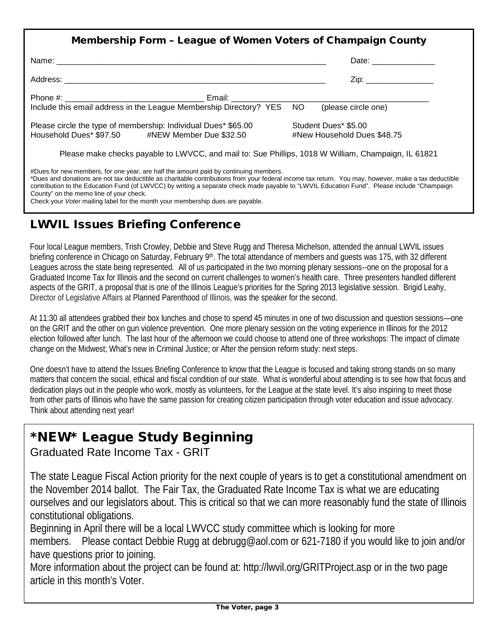| Membership Form - League of Women Voters of Champaign County                                                      |                                                     |
|-------------------------------------------------------------------------------------------------------------------|-----------------------------------------------------|
|                                                                                                                   | Date: ________________                              |
|                                                                                                                   | Zip: _________________                              |
|                                                                                                                   |                                                     |
| Include this email address in the League Membership Directory? YES NO (please circle one)                         |                                                     |
| Please circle the type of membership: Individual Dues* \$65.00<br>Household Dues* \$97.50 #NEW Member Due \$32.50 | Student Dues* \$5.00<br>#New Household Dues \$48.75 |
| Please make checks payable to LWVCC, and mail to: Sue Phillips, 1018 W William, Champaign, IL 61821               |                                                     |
| #Dues for new members, for one year, are half the amount paid by continuing members.                              |                                                     |

\*Dues and donations are not tax deductible as charitable contributions from your federal income tax return. You may, however, make a tax deductible contribution to the Education Fund (of LWVCC) by writing a separate check made payable to "LWVIL Education Fund". Please include "Champaign County" on the memo line of your check. Check your *Voter* mailing label for the month your membership dues are payable.

## LWVIL Issues Briefing Conference

Four local League members, Trish Crowley, Debbie and Steve Rugg and Theresa Michelson, attended the annual LWVIL issues briefing conference in Chicago on Saturday, February 9<sup>th</sup>. The total attendance of members and guests was 175, with 32 different Leagues across the state being represented. All of us participated in the two morning plenary sessions--one on the proposal for a Graduated Income Tax for Illinois and the second on current challenges to women's health care. Three presenters handled different aspects of the GRIT, a proposal that is one of the Illinois League's priorities for the Spring 2013 legislative session. Brigid Leahy, Director of Legislative Affairs at Planned Parenthood of Illinois, was the speaker for the second.

At 11:30 all attendees grabbed their box lunches and chose to spend 45 minutes in one of two discussion and question sessions—one on the GRIT and the other on gun violence prevention. One more plenary session on the voting experience in Illinois for the 2012 election followed after lunch. The last hour of the afternoon we could choose to attend one of three workshops: The impact of climate change on the Midwest; What's new in Criminal Justice; or After the pension reform study: next steps.

One doesn't have to attend the Issues Briefing Conference to know that the League is focused and taking strong stands on so many matters that concern the social, ethical and fiscal condition of our state. What is wonderful about attending is to see how that focus and dedication plays out in the people who work, mostly as volunteers, for the League at the state level. It's also inspiring to meet those from other parts of Illinois who have the same passion for creating citizen participation through voter education and issue advocacy. Think about attending next year!

# \*NEW\* League Study Beginning

## Graduated Rate Income Tax - GRIT

The state League Fiscal Action priority for the next couple of years is to get a constitutional amendment on the November 2014 ballot. The Fair Tax, the Graduated Rate Income Tax is what we are educating ourselves and our legislators about. This is critical so that we can more reasonably fund the state of Illinois constitutional obligations.

Beginning in April there will be a local LWVCC study committee which is looking for more

members. Please contact Debbie Rugg at [debrugg@aol.com](mailto:debrugg@aol.com) or 621-7180 if you would like to join and/or have questions prior to joining.

More information about the project can be found at:<http://lwvil.org/GRITProject.asp> or in the two page article in this month's Voter.